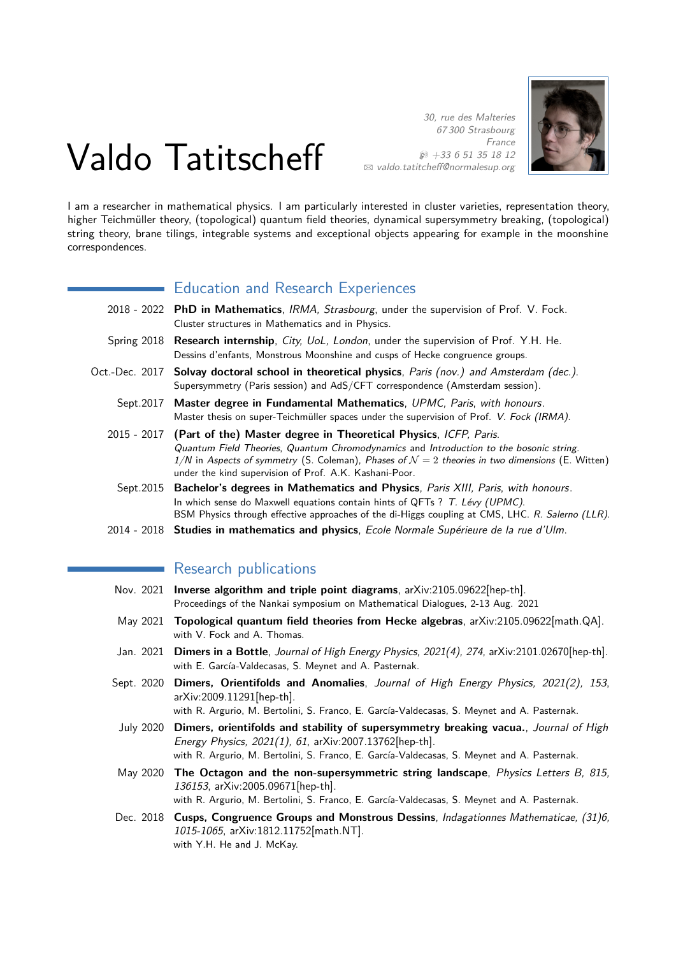# Valdo Tatitscheff

30, rue des Malteries 67 300 Strasbourg France  $$+33651351812$ B [valdo.tatitcheff@normalesup.org](mailto:valdo.tatitcheff@normalesup.org)



I am a researcher in mathematical physics. I am particularly interested in cluster varieties, representation theory, higher Teichmüller theory, (topological) quantum field theories, dynamical supersymmetry breaking, (topological) string theory, brane tilings, integrable systems and exceptional objects appearing for example in the moonshine correspondences.

# Education and Research Experiences

|                | 2018 - 2022 PhD in Mathematics, IRMA, Strasbourg, under the supervision of Prof. V. Fock.<br>Cluster structures in Mathematics and in Physics.                                                                                                                                                                                                |
|----------------|-----------------------------------------------------------------------------------------------------------------------------------------------------------------------------------------------------------------------------------------------------------------------------------------------------------------------------------------------|
|                | Spring 2018 Research internship, City, UoL, London, under the supervision of Prof. Y.H. He.<br>Dessins d'enfants, Monstrous Moonshine and cusps of Hecke congruence groups.                                                                                                                                                                   |
| Oct.-Dec. 2017 | <b>Solvay doctoral school in theoretical physics</b> , Paris (nov.) and Amsterdam (dec.).<br>Supersymmetry (Paris session) and AdS/CFT correspondence (Amsterdam session).                                                                                                                                                                    |
| Sept.2017      | Master degree in Fundamental Mathematics, UPMC, Paris, with honours.<br>Master thesis on super-Teichmüller spaces under the supervision of Prof. V. Fock (IRMA).                                                                                                                                                                              |
|                | 2015 - 2017 (Part of the) Master degree in Theoretical Physics, ICFP, Paris.<br>Quantum Field Theories, Quantum Chromodynamics and Introduction to the bosonic string.<br>1/N in Aspects of symmetry (S. Coleman), Phases of $\mathcal{N}=2$ theories in two dimensions (E. Witten)<br>under the kind supervision of Prof. A.K. Kashani-Poor. |
| Sept.2015      | Bachelor's degrees in Mathematics and Physics, Paris XIII, Paris, with honours.<br>In which sense do Maxwell equations contain hints of QFTs ? T. Lévy (UPMC).<br>BSM Physics through effective approaches of the di-Higgs coupling at CMS, LHC. R. Salerno (LLR).                                                                            |
|                | 2014 - 2018 Studies in mathematics and physics, Ecole Normale Supérieure de la rue d'Ulm.                                                                                                                                                                                                                                                     |

# Research publications

- Nov. 2021 **Inverse algorithm and triple point diagrams**, arXiv:2105.09622[hep-th]. Proceedings of the Nankai symposium on Mathematical Dialogues, 2-13 Aug. 2021
- May 2021 **Topological quantum field theories from Hecke algebras**, arXiv:2105.09622[math.QA]. with V. Fock and A. Thomas.
- Jan. 2021 **Dimers in a Bottle**, Journal of High Energy Physics, 2021(4), 274, arXiv:2101.02670[hep-th]. with E. García-Valdecasas, S. Meynet and A. Pasternak.
- Sept. 2020 **Dimers, Orientifolds and Anomalies**, Journal of High Energy Physics, 2021(2), 153, arXiv:2009.11291[hep-th].
- with R. Argurio, M. Bertolini, S. Franco, E. García-Valdecasas, S. Meynet and A. Pasternak. July 2020 **Dimers, orientifolds and stability of supersymmetry breaking vacua.**, Journal of High
- Energy Physics, 2021(1), 61, arXiv:2007.13762[hep-th]. with R. Argurio, M. Bertolini, S. Franco, E. García-Valdecasas, S. Meynet and A. Pasternak.
- May 2020 **The Octagon and the non-supersymmetric string landscape**, Physics Letters B, 815, 136153, arXiv:2005.09671[hep-th]. with R. Argurio, M. Bertolini, S. Franco, E. García-Valdecasas, S. Meynet and A. Pasternak.
- Dec. 2018 **Cusps, Congruence Groups and Monstrous Dessins**, Indagationnes Mathematicae, (31)6, 1015-1065, arXiv:1812.11752[math.NT]. with Y.H. He and J. McKay.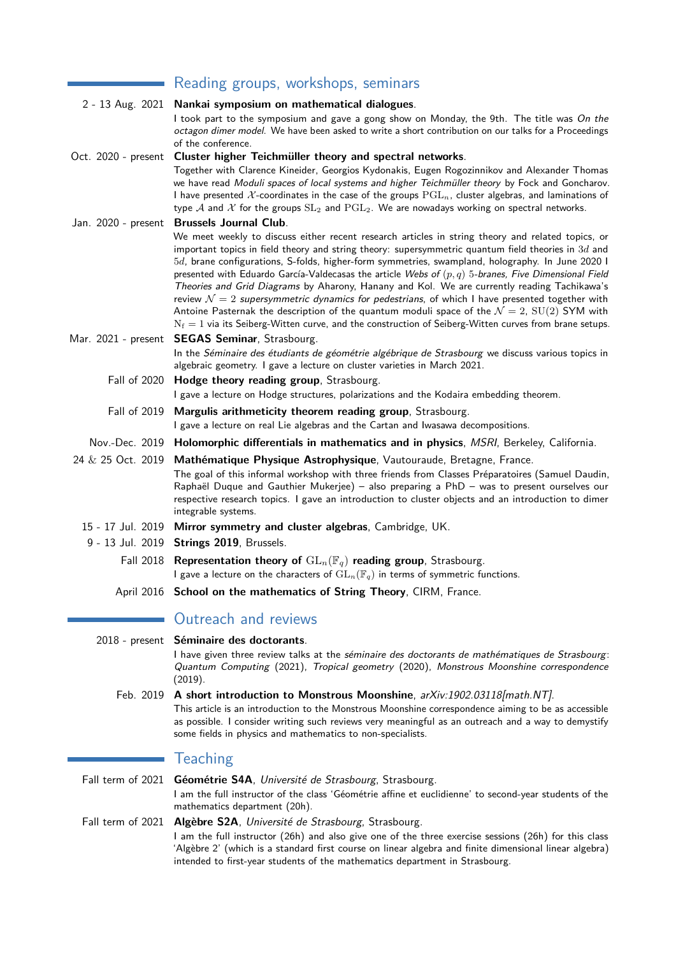|                     | Reading groups, workshops, seminars                                                                                                                                                                                                                                                                                                                                                                                                                                                                                                                                                                                                                                                                                                                                                                                                                       |
|---------------------|-----------------------------------------------------------------------------------------------------------------------------------------------------------------------------------------------------------------------------------------------------------------------------------------------------------------------------------------------------------------------------------------------------------------------------------------------------------------------------------------------------------------------------------------------------------------------------------------------------------------------------------------------------------------------------------------------------------------------------------------------------------------------------------------------------------------------------------------------------------|
|                     | 2 - 13 Aug. 2021 Nankai symposium on mathematical dialogues.                                                                                                                                                                                                                                                                                                                                                                                                                                                                                                                                                                                                                                                                                                                                                                                              |
|                     | I took part to the symposium and gave a gong show on Monday, the 9th. The title was On the<br>octagon dimer model. We have been asked to write a short contribution on our talks for a Proceedings<br>of the conference.                                                                                                                                                                                                                                                                                                                                                                                                                                                                                                                                                                                                                                  |
| Oct. 2020 - present | Cluster higher Teichmüller theory and spectral networks.                                                                                                                                                                                                                                                                                                                                                                                                                                                                                                                                                                                                                                                                                                                                                                                                  |
|                     | Together with Clarence Kineider, Georgios Kydonakis, Eugen Rogozinnikov and Alexander Thomas<br>we have read Moduli spaces of local systems and higher Teichmüller theory by Fock and Goncharov.<br>I have presented X-coordinates in the case of the groups $\mathrm{PGL}_n$ , cluster algebras, and laminations of<br>type A and X for the groups $SL_2$ and $PGL_2$ . We are nowadays working on spectral networks.                                                                                                                                                                                                                                                                                                                                                                                                                                    |
| Jan. 2020 - present | <b>Brussels Journal Club.</b>                                                                                                                                                                                                                                                                                                                                                                                                                                                                                                                                                                                                                                                                                                                                                                                                                             |
|                     | We meet weekly to discuss either recent research articles in string theory and related topics, or<br>important topics in field theory and string theory: supersymmetric quantum field theories in $3d$ and<br>5d, brane configurations, S-folds, higher-form symmetries, swampland, holography. In June 2020 I<br>presented with Eduardo García-Valdecasas the article Webs of $(p, q)$ 5-branes, Five Dimensional Field<br>Theories and Grid Diagrams by Aharony, Hanany and Kol. We are currently reading Tachikawa's<br>review $\mathcal{N}=2$ supersymmetric dynamics for pedestrians, of which I have presented together with<br>Antoine Pasternak the description of the quantum moduli space of the $\mathcal{N}=2$ , $SU(2)$ SYM with<br>$N_f = 1$ via its Seiberg-Witten curve, and the construction of Seiberg-Witten curves from brane setups. |
| Mar. 2021 - present | <b>SEGAS Seminar, Strasbourg.</b>                                                                                                                                                                                                                                                                                                                                                                                                                                                                                                                                                                                                                                                                                                                                                                                                                         |
|                     | In the Séminaire des étudiants de géométrie algébrique de Strasbourg we discuss various topics in<br>algebraic geometry. I gave a lecture on cluster varieties in March 2021.                                                                                                                                                                                                                                                                                                                                                                                                                                                                                                                                                                                                                                                                             |
| <b>Fall of 2020</b> | Hodge theory reading group, Strasbourg.                                                                                                                                                                                                                                                                                                                                                                                                                                                                                                                                                                                                                                                                                                                                                                                                                   |
|                     | I gave a lecture on Hodge structures, polarizations and the Kodaira embedding theorem.                                                                                                                                                                                                                                                                                                                                                                                                                                                                                                                                                                                                                                                                                                                                                                    |
|                     | Fall of 2019 Margulis arithmeticity theorem reading group, Strasbourg.                                                                                                                                                                                                                                                                                                                                                                                                                                                                                                                                                                                                                                                                                                                                                                                    |
|                     | I gave a lecture on real Lie algebras and the Cartan and Iwasawa decompositions.                                                                                                                                                                                                                                                                                                                                                                                                                                                                                                                                                                                                                                                                                                                                                                          |
| Nov.-Dec. 2019      | Holomorphic differentials in mathematics and in physics, MSRI, Berkeley, California.                                                                                                                                                                                                                                                                                                                                                                                                                                                                                                                                                                                                                                                                                                                                                                      |
| 24 & 25 Oct. 2019   | Mathématique Physique Astrophysique, Vautouraude, Bretagne, France.<br>The goal of this informal workshop with three friends from Classes Préparatoires (Samuel Daudin,<br>Raphaël Duque and Gauthier Mukerjee) - also preparing a PhD - was to present ourselves our<br>respective research topics. I gave an introduction to cluster objects and an introduction to dimer<br>integrable systems.                                                                                                                                                                                                                                                                                                                                                                                                                                                        |
| 15 - 17 Jul. 2019   | Mirror symmetry and cluster algebras, Cambridge, UK.                                                                                                                                                                                                                                                                                                                                                                                                                                                                                                                                                                                                                                                                                                                                                                                                      |
| 9 - 13 Jul. 2019    | Strings 2019, Brussels.                                                                                                                                                                                                                                                                                                                                                                                                                                                                                                                                                                                                                                                                                                                                                                                                                                   |
|                     | Fall 2018 Representation theory of $GL_n(\mathbb{F}_q)$ reading group, Strasbourg.<br>I gave a lecture on the characters of $GL_n(\mathbb{F}_q)$ in terms of symmetric functions.                                                                                                                                                                                                                                                                                                                                                                                                                                                                                                                                                                                                                                                                         |
|                     | April 2016 School on the mathematics of String Theory, CIRM, France.                                                                                                                                                                                                                                                                                                                                                                                                                                                                                                                                                                                                                                                                                                                                                                                      |
|                     |                                                                                                                                                                                                                                                                                                                                                                                                                                                                                                                                                                                                                                                                                                                                                                                                                                                           |
|                     | Outreach and reviews                                                                                                                                                                                                                                                                                                                                                                                                                                                                                                                                                                                                                                                                                                                                                                                                                                      |
| $2018$ - present    | Séminaire des doctorants.                                                                                                                                                                                                                                                                                                                                                                                                                                                                                                                                                                                                                                                                                                                                                                                                                                 |
|                     | I have given three review talks at the séminaire des doctorants de mathématiques de Strasbourg:<br>Quantum Computing (2021), Tropical geometry (2020), Monstrous Moonshine correspondence<br>(2019).                                                                                                                                                                                                                                                                                                                                                                                                                                                                                                                                                                                                                                                      |
| Feb. 2019           | A short introduction to Monstrous Moonshine, arXiv:1902.03118[math.NT].                                                                                                                                                                                                                                                                                                                                                                                                                                                                                                                                                                                                                                                                                                                                                                                   |
|                     | This article is an introduction to the Monstrous Moonshine correspondence aiming to be as accessible<br>as possible. I consider writing such reviews very meaningful as an outreach and a way to demystify                                                                                                                                                                                                                                                                                                                                                                                                                                                                                                                                                                                                                                                |

# **Teaching**

mathematics department (20h).

Fall term of 2021 **Géométrie S4A**, Université de Strasbourg, Strasbourg. I am the full instructor of the class 'Géométrie affine et euclidienne' to second-year students of the

some fields in physics and mathematics to non-specialists.

Fall term of 2021 **Algèbre S2A**, Université de Strasbourg, Strasbourg. I am the full instructor (26h) and also give one of the three exercise sessions (26h) for this class 'Algèbre 2' (which is a standard first course on linear algebra and finite dimensional linear algebra) intended to first-year students of the mathematics department in Strasbourg.